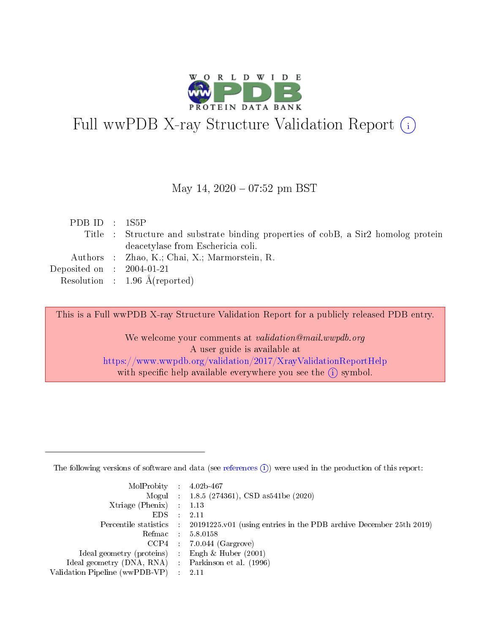

# Full wwPDB X-ray Structure Validation Report (i)

#### May 14,  $2020 - 07:52$  pm BST

| PDBID : 1S5P                |                                                                                    |
|-----------------------------|------------------------------------------------------------------------------------|
|                             | Title : Structure and substrate binding properties of cobB, a Sir2 homolog protein |
|                             | deacetylase from Eschericia coli.                                                  |
|                             | Authors : Zhao, K.; Chai, X.; Marmorstein, R.                                      |
| Deposited on : $2004-01-21$ |                                                                                    |
|                             | Resolution : $1.96 \text{ Å}$ (reported)                                           |

This is a Full wwPDB X-ray Structure Validation Report for a publicly released PDB entry.

We welcome your comments at validation@mail.wwpdb.org A user guide is available at <https://www.wwpdb.org/validation/2017/XrayValidationReportHelp> with specific help available everywhere you see the  $(i)$  symbol.

The following versions of software and data (see [references](https://www.wwpdb.org/validation/2017/XrayValidationReportHelp#references)  $(1)$ ) were used in the production of this report:

| $MolProbability$ 4.02b-467                          |               |                                                                                            |
|-----------------------------------------------------|---------------|--------------------------------------------------------------------------------------------|
|                                                     |               | Mogul : $1.8.5$ (274361), CSD as 541be (2020)                                              |
| Xtriage (Phenix) $: 1.13$                           |               |                                                                                            |
| EDS.                                                | $\mathcal{L}$ | -2.11                                                                                      |
|                                                     |               | Percentile statistics : 20191225.v01 (using entries in the PDB archive December 25th 2019) |
|                                                     |               | Refmac $5.8.0158$                                                                          |
| CCP4                                                |               | $7.0.044$ (Gargrove)                                                                       |
| Ideal geometry (proteins)                           | $\sim$        | Engh $\&$ Huber (2001)                                                                     |
| Ideal geometry (DNA, RNA) : Parkinson et al. (1996) |               |                                                                                            |
| Validation Pipeline (wwPDB-VP) : 2.11               |               |                                                                                            |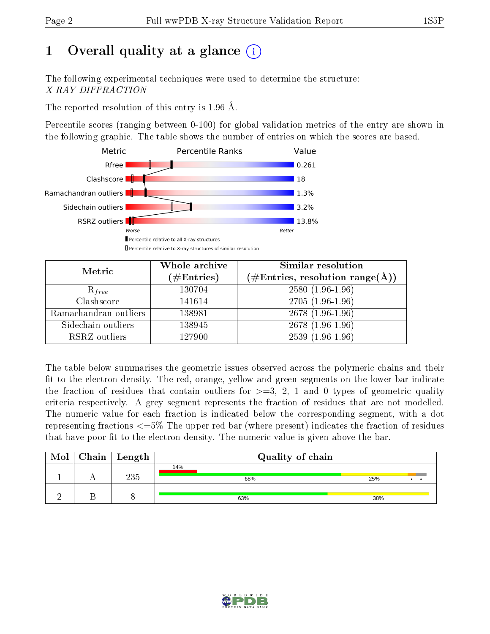# 1 [O](https://www.wwpdb.org/validation/2017/XrayValidationReportHelp#overall_quality)verall quality at a glance  $(i)$

The following experimental techniques were used to determine the structure: X-RAY DIFFRACTION

The reported resolution of this entry is 1.96 Å.

Percentile scores (ranging between 0-100) for global validation metrics of the entry are shown in the following graphic. The table shows the number of entries on which the scores are based.



| Metric                | Whole archive<br>$(\#\mathrm{Entries})$ | Similar resolution<br>$(\#\text{Entries},\,\text{resolution}\,\,\text{range}(\textup{\AA}))$ |  |  |
|-----------------------|-----------------------------------------|----------------------------------------------------------------------------------------------|--|--|
| $R_{free}$            | 130704                                  | $2580(1.96-1.96)$                                                                            |  |  |
| Clashscore            | 141614                                  | $2705(1.96-1.96)$                                                                            |  |  |
| Ramachandran outliers | 138981                                  | $2678(1.96-1.96)$                                                                            |  |  |
| Sidechain outliers    | 138945                                  | $2678(1.96-1.96)$                                                                            |  |  |
| RSRZ outliers         | 127900                                  | $2539(1.96-1.96)$                                                                            |  |  |

The table below summarises the geometric issues observed across the polymeric chains and their fit to the electron density. The red, orange, yellow and green segments on the lower bar indicate the fraction of residues that contain outliers for  $>=3, 2, 1$  and 0 types of geometric quality criteria respectively. A grey segment represents the fraction of residues that are not modelled. The numeric value for each fraction is indicated below the corresponding segment, with a dot representing fractions  $\epsilon=5\%$  The upper red bar (where present) indicates the fraction of residues that have poor fit to the electron density. The numeric value is given above the bar.

|  | $\text{Mol} \mid \text{Chain} \mid \text{Length}$ | Quality of chain |     |  |  |  |
|--|---------------------------------------------------|------------------|-----|--|--|--|
|  | 235                                               | 14%<br>68%       | 25% |  |  |  |
|  |                                                   | 63%              | 38% |  |  |  |

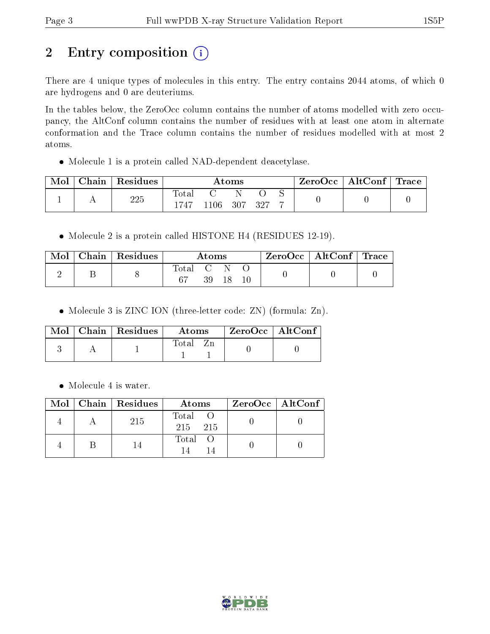# 2 Entry composition (i)

There are 4 unique types of molecules in this entry. The entry contains 2044 atoms, of which 0 are hydrogens and 0 are deuteriums.

In the tables below, the ZeroOcc column contains the number of atoms modelled with zero occupancy, the AltConf column contains the number of residues with at least one atom in alternate conformation and the Trace column contains the number of residues modelled with at most 2 atoms.

Molecule 1 is a protein called NAD-dependent deacetylase.

| Mol | Chain | Residues | Atoms                  |         |     |     | $\text{ZeroOcc} \mid \text{AltConf} \mid \text{Trace}$ |  |  |
|-----|-------|----------|------------------------|---------|-----|-----|--------------------------------------------------------|--|--|
|     |       | 225      | $\text{Total}$<br>1747 | $106\,$ | 307 | 297 |                                                        |  |  |

• Molecule 2 is a protein called HISTONE H4 (RESIDUES 12-19).

| Mol | Chain   Residues | Atoms     |    | $\text{ZeroOcc} \mid \text{AltConf} \mid \text{Trace}$ |  |  |  |
|-----|------------------|-----------|----|--------------------------------------------------------|--|--|--|
|     |                  | Total C N | 39 |                                                        |  |  |  |

• Molecule 3 is ZINC ION (three-letter code: ZN) (formula: Zn).

|  | $\text{Mol}$   Chain   Residues | Atoms | $ZeroOcc$   AltConf |
|--|---------------------------------|-------|---------------------|
|  |                                 | Total |                     |

• Molecule 4 is water.

|  | $\text{Mol}$   Chain   Residues | Atoms              | $ZeroOcc$   AltConf |
|--|---------------------------------|--------------------|---------------------|
|  | 215                             | Total O<br>215 215 |                     |
|  | 14                              | Total O            |                     |

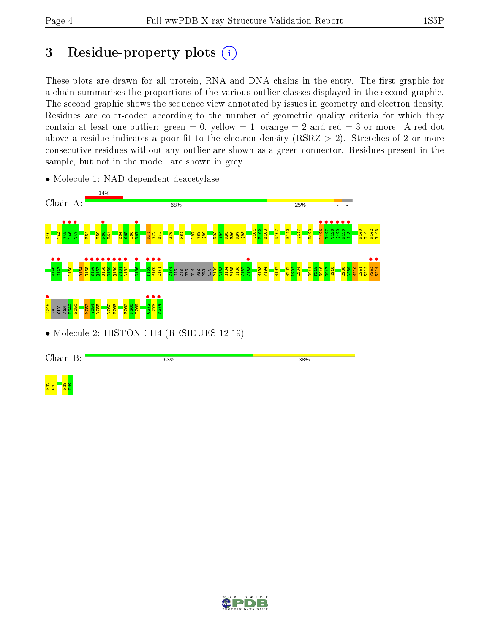# 3 Residue-property plots  $(i)$

These plots are drawn for all protein, RNA and DNA chains in the entry. The first graphic for a chain summarises the proportions of the various outlier classes displayed in the second graphic. The second graphic shows the sequence view annotated by issues in geometry and electron density. Residues are color-coded according to the number of geometric quality criteria for which they contain at least one outlier: green  $= 0$ , yellow  $= 1$ , orange  $= 2$  and red  $= 3$  or more. A red dot above a residue indicates a poor fit to the electron density (RSRZ  $> 2$ ). Stretches of 2 or more consecutive residues without any outlier are shown as a green connector. Residues present in the sample, but not in the model, are shown in grey.



• Molecule 1: NAD-dependent deacetylase

Chain B: 63% 38%



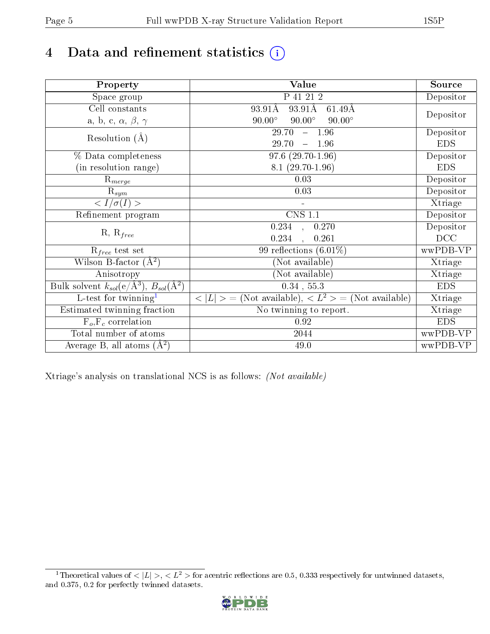# 4 Data and refinement statistics  $\bigcirc$

| Property                                                      | Value                                                                          | Source     |
|---------------------------------------------------------------|--------------------------------------------------------------------------------|------------|
| Space group                                                   | P 41 21 2                                                                      | Depositor  |
| Cell constants                                                | $93.91\text{\AA}$<br>93.91Å<br>$61.49\text{\AA}$                               |            |
| a, b, c, $\alpha$ , $\beta$ , $\gamma$                        | $90.00^\circ$<br>$90.00^\circ$<br>$90.00^\circ$                                | Depositor  |
| Resolution $(A)$                                              | 29.70<br>$-1.96$                                                               | Depositor  |
|                                                               | 29.70<br>$-1.96$                                                               | <b>EDS</b> |
| % Data completeness                                           | $97.6(29.70-1.96)$                                                             | Depositor  |
| (in resolution range)                                         | $8.1(29.70-1.96)$                                                              | <b>EDS</b> |
| $\mathrm{R}_{merge}$                                          | 0.03                                                                           | Depositor  |
| $R_{sym}$                                                     | 0.03                                                                           | Depositor  |
| $\langle I/\sigma(I)\rangle$                                  |                                                                                | Xtriage    |
| Refinement program                                            | $CNS$ 1.1                                                                      | Depositor  |
| $R, R_{free}$                                                 | 0.234, 0.270                                                                   | Depositor  |
|                                                               | 0.234<br>0.261                                                                 | DCC        |
| $R_{free}$ test set                                           | 99 reflections $(6.01\%)$                                                      | wwPDB-VP   |
| Wilson B-factor $(A^2)$                                       | (Not available)                                                                | Xtriage    |
| Anisotropy                                                    | (Not available)                                                                | Xtriage    |
| Bulk solvent $k_{sol}(e/\text{\AA}^3), B_{sol}(\text{\AA}^2)$ | $\overline{0.34}$ , 55.3                                                       | <b>EDS</b> |
| L-test for twinning <sup>1</sup>                              | $\langle  L  \rangle = (Not available), \langle L^2 \rangle = (Not available)$ | Xtriage    |
| Estimated twinning fraction                                   | No twinning to report.                                                         | Xtriage    |
| $F_o, F_c$ correlation                                        | 0.92                                                                           | <b>EDS</b> |
| Total number of atoms                                         | 2044                                                                           | wwPDB-VP   |
| Average B, all atoms $(A^2)$                                  | 49.0                                                                           | wwPDB-VP   |

Xtriage's analysis on translational NCS is as follows: (Not available)

<span id="page-4-0"></span><sup>&</sup>lt;sup>1</sup>Theoretical values of  $\langle |L| \rangle$ ,  $\langle L^2 \rangle$  for acentric reflections are 0.5, 0.333 respectively for untwinned datasets, and 0.375, 0.2 for perfectly twinned datasets.

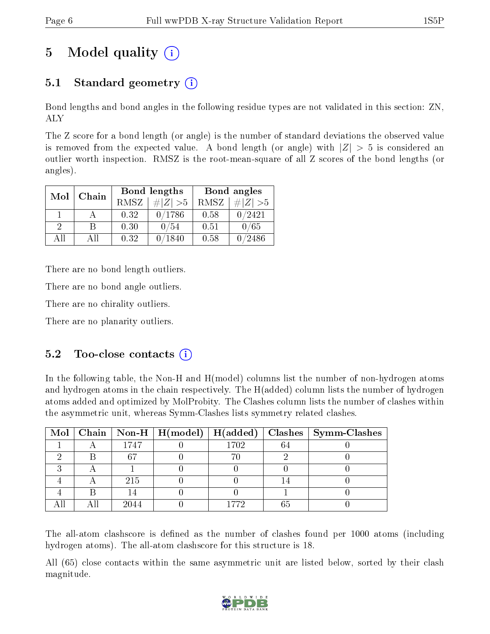# 5 Model quality  $(i)$

## 5.1 Standard geometry  $(i)$

Bond lengths and bond angles in the following residue types are not validated in this section: ZN, ALY

The Z score for a bond length (or angle) is the number of standard deviations the observed value is removed from the expected value. A bond length (or angle) with  $|Z| > 5$  is considered an outlier worth inspection. RMSZ is the root-mean-square of all Z scores of the bond lengths (or angles).

| Mol | Chain |             | Bond lengths | Bond angles |             |  |
|-----|-------|-------------|--------------|-------------|-------------|--|
|     |       | <b>RMSZ</b> | $\# Z  > 5$  | RMSZ        | $\ Z\  > 5$ |  |
|     |       | 0.32        | 0/1786       | 0.58        | 0/2421      |  |
| 9   |       | 0.30        | '54          | 0.51        | 0/65        |  |
| ΔH  | A 11  | 0.32        | 1840         | 0.58        | /2486       |  |

There are no bond length outliers.

There are no bond angle outliers.

There are no chirality outliers.

There are no planarity outliers.

## $5.2$  Too-close contacts  $(i)$

In the following table, the Non-H and H(model) columns list the number of non-hydrogen atoms and hydrogen atoms in the chain respectively. The H(added) column lists the number of hydrogen atoms added and optimized by MolProbity. The Clashes column lists the number of clashes within the asymmetric unit, whereas Symm-Clashes lists symmetry related clashes.

|   |      |      |    | Mol   Chain   Non-H   H(model)   H(added)   Clashes   Symm-Clashes |
|---|------|------|----|--------------------------------------------------------------------|
|   | 1747 | 1702 | 64 |                                                                    |
|   |      |      |    |                                                                    |
| ച |      |      |    |                                                                    |
|   | 215  |      |    |                                                                    |
|   |      |      |    |                                                                    |
|   | 2044 |      |    |                                                                    |

The all-atom clashscore is defined as the number of clashes found per 1000 atoms (including hydrogen atoms). The all-atom clashscore for this structure is 18.

All (65) close contacts within the same asymmetric unit are listed below, sorted by their clash magnitude.

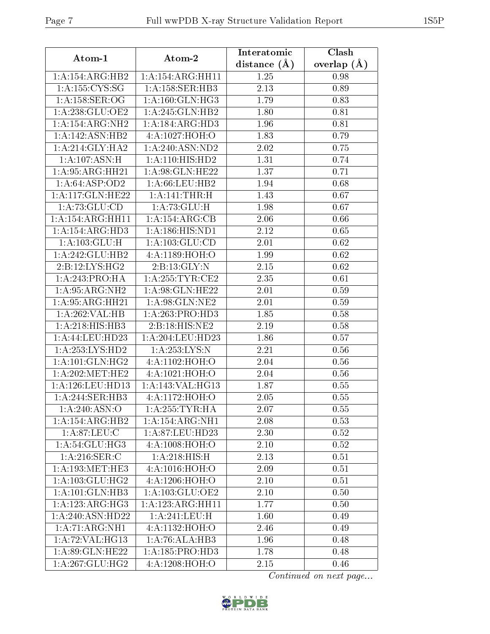| Atom-1              | Atom-2                        | Interatomic       | Clash         |
|---------------------|-------------------------------|-------------------|---------------|
|                     |                               | distance $(\AA)$  | overlap $(A)$ |
| 1:A:154:ARG:HB2     | 1: A:154: ARG:HH11            | 1.25              | 0.98          |
| 1: A: 155: CYS: SG  | 1:A:158:SER:HB3               | 2.13              | 0.89          |
| 1: A:158: SER:OG    | 1: A:160: GLN: HG3            | 1.79              | 0.83          |
| 1:A:238:GLU:OE2     | 1: A:245: GLN:HB2             | 1.80              | 0.81          |
| 1:A:154:ARG:NH2     | 1:A:184:ARG:HD3               | 1.96              | 0.81          |
| 1:A:142:ASN:HB2     | 4:A:1027:HOH:O                | 1.83              | 0.79          |
| 1: A:214: GLY:HA2   | 1:A:240:ASN:ND2               | 2.02              | 0.75          |
| 1:A:107:ASN:H       | 1:A:110:HIS:HD2               | 1.31              | 0.74          |
| 1:A:95:ARG:HH21     | 1: A:98: GLN: HE22            | 1.37              | 0.71          |
| 1:A:64:ASP:OD2      | 1: A:66:LEU:HB2               | 1.94              | 0.68          |
| 1:A:117:GLN:HE22    | 1: A:141:THR:H                | 1.43              | 0.67          |
| 1: A:73: GLU:CD     | 1:A:73:GLU:H                  | 1.98              | 0.67          |
| 1:A:154:ARG:HH11    | 1:A:154:ARG:CB                | 2.06              | 0.66          |
| 1: A:154: ARG:HD3   | 1: A: 186: HIS: ND1           | 2.12              | 0.65          |
| 1: A: 103: GLU: H   | 1: A: 103: GLU: CD            | 2.01              | 0.62          |
| 1:A:242:GLU:HB2     | 4: A: 1189: HOH: O            | 1.99              | 0.62          |
| 2:B:12:LYS:HG2      | 2:B:13:GLY:N                  | 2.15              | 0.62          |
| 1:A:243:PRO:HA      | 1:A:255:TYR:CE2               | 2.35              | 0.61          |
| 1:A:95:ARG:NH2      | 1:A:98:GLN:HE22               | 2.01              | 0.59          |
| 1:A:95:ARG:HH21     | 1:A:98:GLN:NE2                | 2.01              | 0.59          |
| 1:A:262:VAL:HB      | 1:A:263:PRO:HD3               | 1.85              | 0.58          |
| 1: A:218: HIS: HB3  | 2:B:18:HIS:NE2                | 2.19              | 0.58          |
| 1: A:44:LEU:HD23    | 1:A:204:LEU:HD23              | 1.86              | 0.57          |
| 1:A:253:LYS:HD2     | $1:$ A:253:LYS:N              | 2.21              | 0.56          |
| 1: A:101: GLN: HG2  | 4:A:1102:HOH:O                | 2.04              | 0.56          |
| 1: A:202:MET:HE2    | 4:A:1021:HOH:O                | 2.04              | 0.56          |
| 1:A:126:LEU:HD13    | 1:A:143:VAL:HG13              | 1.87              | 0.55          |
| 1:A:244:SER:HB3     | 4: A: 1172: HOH:O             | 2.05              | 0.55          |
| 1: A:240: ASN:O     | 1: A:255:TYR:HA               | 2.07              | 0.55          |
| 1:A:154:ARG:HB2     | 1: A:154: ARG:NH1             | 2.08              | 0.53          |
| 1: A:87:LEU: C      | 1:A:87:LEU:HD23               | 2.30              | 0.52          |
| 1:A:54:GLU:HG3      | 4: A:1008:HOH:O               | 2.10              | 0.52          |
| 1: A:216: SER: C    | 1: A:218: HIS:H               | 2.13              | 0.51          |
| 1: A:193:MET:HE3    | 4: A: 1016: HOH: O            | 2.09              | 0.51          |
| 1: A: 103: GLU: HG2 | 4:A:1206:HOH:O                | 2.10              | 0.51          |
| 1:A:101:GLN:HB3     | 1:A:103:GLU:OE2               | 2.10              | 0.50          |
| 1:A:123:ARG:HG3     | $1:A:\overline{123:ARG:HH11}$ | $\overline{1.77}$ | 0.50          |
| 1:A:240:ASN:HD22    | 1:A:241:LEU:H                 | 1.60              | 0.49          |
| 1:A:71:ARG:NH1      | 4: A: 1132: HOH: O            | 2.46              | 0.49          |
| 1:A:72:VAL:HG13     | 1:A:76:ALA:HB3                | 1.96              | 0.48          |
| 1:A:89:GLN:HE22     | 1:A:185:PRO:HD3               | 1.78              | 0.48          |
| 1: A:267: GLU:HG2   | 4:A:1208:HOH:O                | 2.15              | 0.46          |

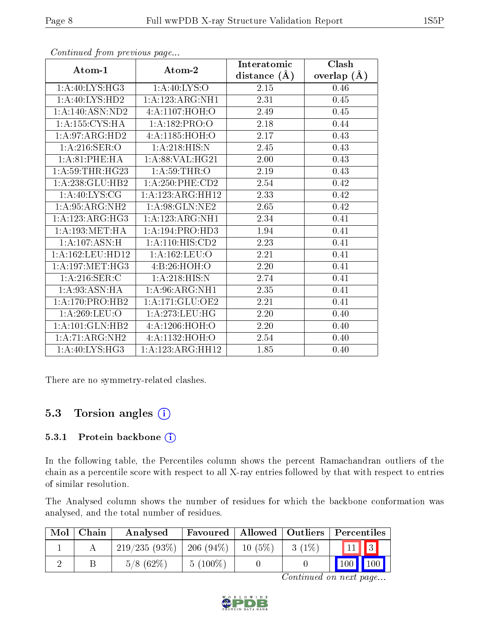|                              |                     | Interatomic      | Clash         |
|------------------------------|---------------------|------------------|---------------|
| Atom-1                       | Atom-2              | distance $(\AA)$ | overlap $(A)$ |
| 1: A:40: LYS: HG3            | 1: A:40: LYS:O      | 2.15             | 0.46          |
| 1: A:40: LYS:HD2             | 1:A:123:ARG:NH1     | 2.31             | 0.45          |
| 1: A: 140: ASN: ND2          | 4: A: 1107: HOH:O   | 2.49             | 0.45          |
| 1: A: 155: CYS: HA           | 1:A:182:PRO:O       | 2.18             | 0.44          |
| $1:A:97:ARG:H\overline{D2}$  | 4: A: 1185: HOH:O   | 2.17             | 0.43          |
| 1: A:216: SER:O              | 1: A:218: HIS:N     | 2.45             | 0.43          |
| 1: A:81:PHE:HA               | 1: A:88: VAL:HG21   | 2.00             | 0.43          |
| 1: A:59:THR:HG23             | 1: A:59:THR:O       | 2.19             | 0.43          |
| 1:A:238:GLU:HB2              | $1: A:250:$ PHE:CD2 | 2.54             | 0.42          |
| 1: A:40: LYS: CG             | 1:A:123:ARG:HH12    | 2.33             | 0.42          |
| 1: A:95: ARG: NH2            | 1:A:98:GLN:NE2      | 2.65             | 0.42          |
| 1:A:123:ARG:HG3              | 1:A:123:ARG:NH1     | 2.34             | 0.41          |
| 1: A: 193: MET: HA           | 1:A:194:PRO:HD3     | 1.94             | 0.41          |
| 1:A:107:ASN:H                | 1: A:110:HIS:CD2    | 2.23             | 0.41          |
| 1: A: 162: LEU: HD12         | 1:A:162:LEU:O       | 2.21             | 0.41          |
| 1: A:197: MET:HG3            | 4:B:26:HOH:O        | 2.20             | 0.41          |
| $1: A:216:$ SER:C            | 1: A:218: HIS:N     | 2.74             | 0.41          |
| 1: A:93: ASN: HA             | 1: A:96:ARG:NH1     | 2.35             | 0.41          |
| $1:A:170:PRO:\overline{HB2}$ | 1: A:171: GLU:OE2   | 2.21             | 0.41          |
| 1: A:269:LEU:O               | 1: A:273:LEU:HG     | 2.20             | 0.40          |
| 1:A:101:GLN:HB2              | 4:A:1206:HOH:O      | 2.20             | 0.40          |
| 1:A:71:ARG:NH2               | 4:A:1132:HOH:O      | 2.54             | 0.40          |
| 1: A:40: LYS: HG3            | 1:A:123:ARG:HH12    | 1.85             | 0.40          |

Continued from previous page...

There are no symmetry-related clashes.

## 5.3 Torsion angles  $(i)$

#### 5.3.1 Protein backbone (i)

In the following table, the Percentiles column shows the percent Ramachandran outliers of the chain as a percentile score with respect to all X-ray entries followed by that with respect to entries of similar resolution.

The Analysed column shows the number of residues for which the backbone conformation was analysed, and the total number of residues.

| Mol | Chain | Analysed                     |            |           |          | <b>Favoured</b>   Allowed   Outliers   Percentiles |
|-----|-------|------------------------------|------------|-----------|----------|----------------------------------------------------|
|     |       | $219/235(93\%)$   206 (94\%) |            | $10(5\%)$ | $3(1\%)$ | $\sqrt{11}$ $\sqrt{3}$                             |
|     |       | $5/8$ (62\%)                 | $5(100\%)$ |           |          | $100 \mid$<br>$\vert$ 100 $\vert$ $\vert$          |

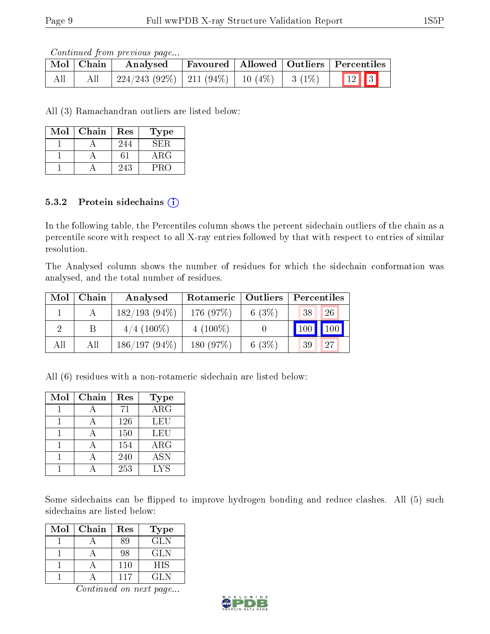Continued from previous page...

|     | Mol Chain | Analysed                                           |  | Favoured   Allowed   Outliers   Percentiles |
|-----|-----------|----------------------------------------------------|--|---------------------------------------------|
| All |           | $224/243$ (92\%)   211 (94\%)   10 (4\%)   3 (1\%) |  | $\boxed{12}$                                |

All (3) Ramachandran outliers are listed below:

| Mol | Chain | Res | Type'      |
|-----|-------|-----|------------|
|     |       | 244 | SE:R       |
|     |       |     | $\rm{ARG}$ |
|     |       | 243 | PRO        |

### 5.3.2 Protein sidechains  $(i)$

In the following table, the Percentiles column shows the percent sidechain outliers of the chain as a percentile score with respect to all X-ray entries followed by that with respect to entries of similar resolution.

The Analysed column shows the number of residues for which the sidechain conformation was analysed, and the total number of residues.

| Mol | Chain | Analysed        | Rotameric   | $\vert$ Outliers | Percentiles |    |
|-----|-------|-----------------|-------------|------------------|-------------|----|
|     |       | $182/193(94\%)$ | 176 (97%)   | 6 $(3%)$         | 38          | 26 |
| റ   |       | $4/4$ (100\%)   | 4 $(100\%)$ |                  | 100         |    |
| All | Аll   | $186/197(94\%)$ | 180(97%)    | 6 $(3%)$         | 39          | 27 |

All (6) residues with a non-rotameric sidechain are listed below:

| Mol | Chain | Res | Type                    |
|-----|-------|-----|-------------------------|
|     |       | 71  | $\overline{\text{ARG}}$ |
|     |       | 126 | LEU                     |
|     |       | 150 | LEU                     |
|     |       | 154 | $\rm{ARG}$              |
|     |       | 240 | $\overline{A}$ SN       |
|     |       | 253 | <b>LYS</b>              |

Some sidechains can be flipped to improve hydrogen bonding and reduce clashes. All (5) such sidechains are listed below:

| Mol | Chain | Res | <b>Type</b> |
|-----|-------|-----|-------------|
|     |       | 89  | GLN         |
|     |       | 98  | GLN         |
|     |       | 110 | <b>HIS</b>  |
|     |       | 117 | GL N        |

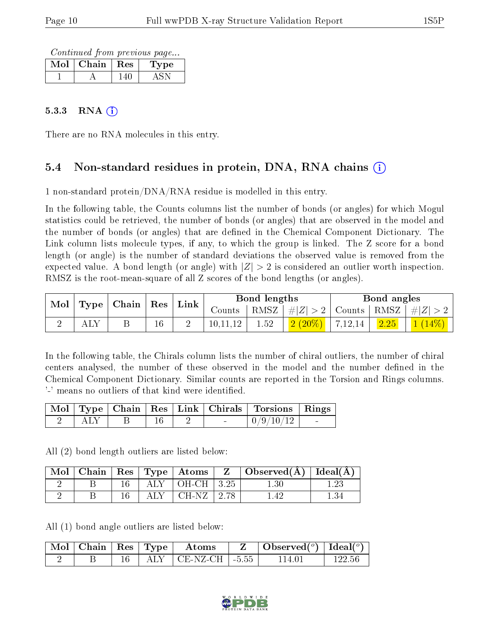Continued from previous page...

| Mol | Chain $\vert$ Res | ype |
|-----|-------------------|-----|
|     |                   |     |

### $5.3.3$  RNA  $(i)$

There are no RNA molecules in this entry.

## 5.4 Non-standard residues in protein, DNA, RNA chains (i)

1 non-standard protein/DNA/RNA residue is modelled in this entry.

In the following table, the Counts columns list the number of bonds (or angles) for which Mogul statistics could be retrieved, the number of bonds (or angles) that are observed in the model and the number of bonds (or angles) that are defined in the Chemical Component Dictionary. The Link column lists molecule types, if any, to which the group is linked. The Z score for a bond length (or angle) is the number of standard deviations the observed value is removed from the expected value. A bond length (or angle) with  $|Z| > 2$  is considered an outlier worth inspection. RMSZ is the root-mean-square of all Z scores of the bond lengths (or angles).

| $\mathbf{Mol}$ | $\mid$ Type $\mid$ Chain $\mid$ | $\vert$ Res $\vert$ | $^{\shortmid}$ Link $_{\shortmid}$ |          | Bond lengths |                                                                |         | Bond angles    |  |
|----------------|---------------------------------|---------------------|------------------------------------|----------|--------------|----------------------------------------------------------------|---------|----------------|--|
|                |                                 |                     |                                    | Counts   |              | $\vert$ RMSZ $\vert \#  Z  > 2$   Counts   RMSZ $\vert \#  Z $ |         |                |  |
|                |                                 | $^{\rm 16}$         |                                    | 10,11,12 | $1.52\,$     | $2(20\%)$                                                      | 7,12,14 | $\boxed{2.25}$ |  |

In the following table, the Chirals column lists the number of chiral outliers, the number of chiral centers analysed, the number of these observed in the model and the number defined in the Chemical Component Dictionary. Similar counts are reported in the Torsion and Rings columns. '-' means no outliers of that kind were identified.

|  |  |  | Mol   Type   Chain   Res   Link   Chirals   Torsions   Rings |                                  |
|--|--|--|--------------------------------------------------------------|----------------------------------|
|  |  |  | 0/9/10/12                                                    | <b>Service Contract Contract</b> |

All (2) bond length outliers are listed below:

| Mol | ∣ Chain |            | Res   Type   Atoms       | $\mathbf{Z}$ | Observed $(\overline{A})$   Ideal $(\overline{A})$ |  |
|-----|---------|------------|--------------------------|--------------|----------------------------------------------------|--|
|     |         |            | $ALY$   OH-CH   3.25     |              | L.30                                               |  |
|     |         | $\rm{ALY}$ | $\mid$ CH-NZ $\mid$ 2.78 |              |                                                    |  |

All (1) bond angle outliers are listed below:

|  |  | $\mid$ Mol $\mid$ Chain $\mid$ Res $\mid$ Type $\mid$ Atoms | $\mid$ Observed $({}^o)$ $\mid$ Ideal $({}^o)$ $\mid$ |        |
|--|--|-------------------------------------------------------------|-------------------------------------------------------|--------|
|  |  | $ALY$   CE-NZ-CH   -5.55                                    | 114 01                                                | 122.56 |

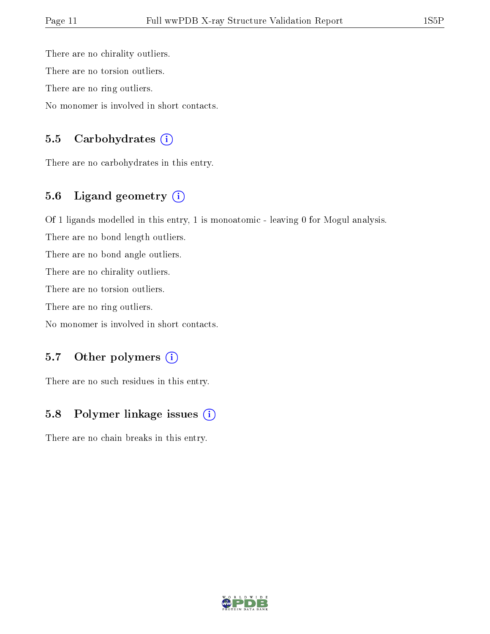There are no chirality outliers. There are no torsion outliers. There are no ring outliers. No monomer is involved in short contacts.

### 5.5 Carbohydrates  $(i)$

There are no carbohydrates in this entry.

## 5.6 Ligand geometry  $(i)$

Of 1 ligands modelled in this entry, 1 is monoatomic - leaving 0 for Mogul analysis.

There are no bond length outliers.

There are no bond angle outliers.

There are no chirality outliers.

There are no torsion outliers.

There are no ring outliers.

No monomer is involved in short contacts.

### 5.7 [O](https://www.wwpdb.org/validation/2017/XrayValidationReportHelp#nonstandard_residues_and_ligands)ther polymers (i)

There are no such residues in this entry.

### 5.8 Polymer linkage issues (i)

There are no chain breaks in this entry.

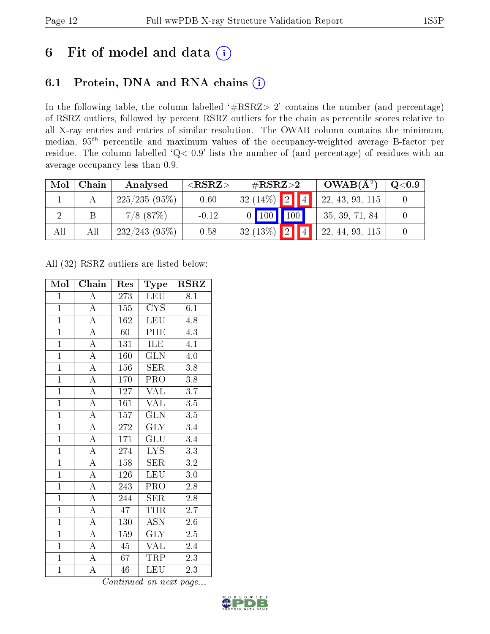# 6 Fit of model and data  $(i)$

## 6.1 Protein, DNA and RNA chains  $(i)$

In the following table, the column labelled  $#RSRZ> 2'$  contains the number (and percentage) of RSRZ outliers, followed by percent RSRZ outliers for the chain as percentile scores relative to all X-ray entries and entries of similar resolution. The OWAB column contains the minimum, median,  $95<sup>th</sup>$  percentile and maximum values of the occupancy-weighted average B-factor per residue. The column labelled ' $Q< 0.9$ ' lists the number of (and percentage) of residues with an average occupancy less than 0.9.

| Mol | Chain | Analysed      | ${ <\hspace{-1.5pt}{\mathrm{RSRZ}} \hspace{-1.5pt}>}$ | $\#\text{RSRZ}{>}2$                       |                         | $OWAB(A^2)$     | Q <sub>0.9</sub> |
|-----|-------|---------------|-------------------------------------------------------|-------------------------------------------|-------------------------|-----------------|------------------|
|     |       | 225/235(95%)  | 0.60                                                  | $32(14\%)$ 2 4                            |                         | 22, 43, 93, 115 |                  |
|     |       | $7/8$ $(87%)$ | $-0.12$                                               | $\vert 100 \vert \vert$<br>$\overline{0}$ | $\mid$ 100 $\mid$       | 35, 39, 71, 84  |                  |
|     | All   | 232/243(95%)  | 0.58                                                  | $32(13\%)$                                | $\boxed{2}$ $\boxed{4}$ | 22, 44, 93, 115 |                  |

All (32) RSRZ outliers are listed below:

| Mol            | Chain              | Res              | Type                    | <b>RSRZ</b>      |
|----------------|--------------------|------------------|-------------------------|------------------|
| $\mathbf{1}$   | $\boldsymbol{A}$   | 273              | LEU                     | 8.1              |
| $\mathbf{1}$   | $\overline{A}$     | 155              | CYS                     | $6.1\,$          |
| $\overline{1}$ | $\overline{\rm A}$ | 162              | LEU                     | 4.8              |
| $\mathbf{1}$   | $\overline{\rm A}$ | 60               | PHE                     | 4.3              |
| $\overline{1}$ | $\overline{\rm A}$ | $\overline{1}31$ | $\overline{\text{ILE}}$ | 4.1              |
| $\overline{1}$ | $\overline{\rm A}$ | 160              | <b>GLN</b>              | $4.0\,$          |
| $\overline{1}$ | $\overline{\rm A}$ | 156              | <b>SER</b>              | 3.8              |
| $\overline{1}$ | $\overline{\rm A}$ | 170              | $\overline{\text{PRO}}$ | 3.8              |
| $\overline{1}$ | $\overline{\rm A}$ | 127              | $\overline{\text{VAL}}$ | $\overline{3.7}$ |
| $\overline{1}$ | $\overline{A}$     | 161              | $\overline{\text{VAL}}$ | 3.5              |
| $\overline{1}$ | $\overline{\rm A}$ | 157              | $\overline{\text{GLN}}$ | $3.5\,$          |
| $\overline{1}$ | $\overline{\rm A}$ | $\overline{272}$ | $\overline{\text{GLY}}$ | $\overline{3.4}$ |
| $\overline{1}$ | $\overline{A}$     | 171              | $\overline{\text{GLU}}$ | $\overline{3.4}$ |
| $\overline{1}$ | $\overline{\rm A}$ | 274              | <b>LYS</b>              | 3.3              |
| $\overline{1}$ | $\overline{A}$     | 158              | SER                     | $\overline{3.2}$ |
| $\overline{1}$ | $\overline{\rm A}$ | 126              | $\overline{\text{LEU}}$ | $3.0\,$          |
| $\overline{1}$ | $\overline{\rm A}$ | $\overline{243}$ | $\overline{\text{PRO}}$ | $\overline{2.8}$ |
| $\overline{1}$ | $\overline{\rm A}$ | 244              | SER                     | $2.8\,$          |
| $\overline{1}$ | $\overline{\rm A}$ | $\overline{47}$  | <b>THR</b>              | $\overline{2.7}$ |
| $\overline{1}$ | $\overline{\rm A}$ | 130              | <b>ASN</b>              | $\overline{2.6}$ |
| $\overline{1}$ | $\overline{\rm A}$ | 159              | <b>GLY</b>              | 2.5              |
| $\overline{1}$ | A                  | 45               | VAL                     | 2.4              |
| $\overline{1}$ | $\overline{\rm A}$ | 67               | TRP                     | 2.3              |
| $\mathbf{1}$   | A                  | 46               | LEU                     | $2.\overline{3}$ |